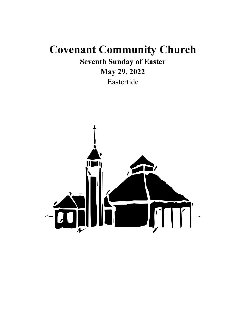# **Covenant Community Church**

**Seventh Sunday of Easter**

# **May 29, 2022**

Eastertide

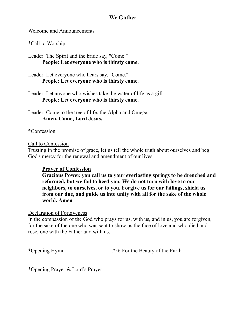# **We Gather**

Welcome and Announcements

\*Call to Worship

Leader: The Spirit and the bride say, "Come." **People: Let everyone who is thirsty come.**

Leader: Let everyone who hears say, "Come." **People: Let everyone who is thirsty come.**

Leader: Let anyone who wishes take the water of life as a gift **People: Let everyone who is thirsty come.**

Leader: Come to the tree of life, the Alpha and Omega. **Amen. Come, Lord Jesus.**

\*Confession

#### Call to Confession

Trusting in the promise of grace, let us tell the whole truth about ourselves and beg God's mercy for the renewal and amendment of our lives.

### **Prayer of Confession**

**Gracious Power, you call us to your everlasting springs to be drenched and reformed, but we fail to heed you. We do not turn with love to our neighbors, to ourselves, or to you. Forgive us for our failings, shield us from our due, and guide us into unity with all for the sake of the whole world. Amen**

#### Declaration of Forgiveness

In the compassion of the God who prays for us, with us, and in us, you are forgiven, for the sake of the one who was sent to show us the face of love and who died and rose, one with the Father and with us.

\*Opening Hymn #56 For the Beauty of the Earth

\*Opening Prayer & Lord's Prayer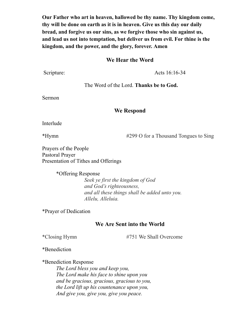**Our Father who art in heaven, hallowed be thy name. Thy kingdom come, thy will be done on earth as it is in heaven. Give us this day our daily bread, and forgive us our sins, as we forgive those who sin against us, and lead us not into temptation, but deliver us from evil. For thine is the kingdom, and the power, and the glory, forever. Amen**

#### **We Hear the Word**

Scripture: Acts 16:16-34

The Word of the Lord. **Thanks be to God.**

Sermon

#### **We Respond**

Interlude

\*Hymn #299 O for a Thousand Tongues to Sing

Prayers of the People Pastoral Prayer Presentation of Tithes and Offerings

> \*Offering Response *Seek ye first the kingdom of God and God's righteousness, and all these things shall be added unto you. Allelu, Alleluia.*

\*Prayer of Dedication

#### **We Are Sent into the World**

\*Closing Hymn #751 We Shall Overcome

\*Benediction

\*Benediction Response *The Lord bless you and keep you, The Lord make his face to shine upon you and be gracious, gracious, gracious to you, the Lord lift up his countenance upon you, And give you, give you, give you peace.*